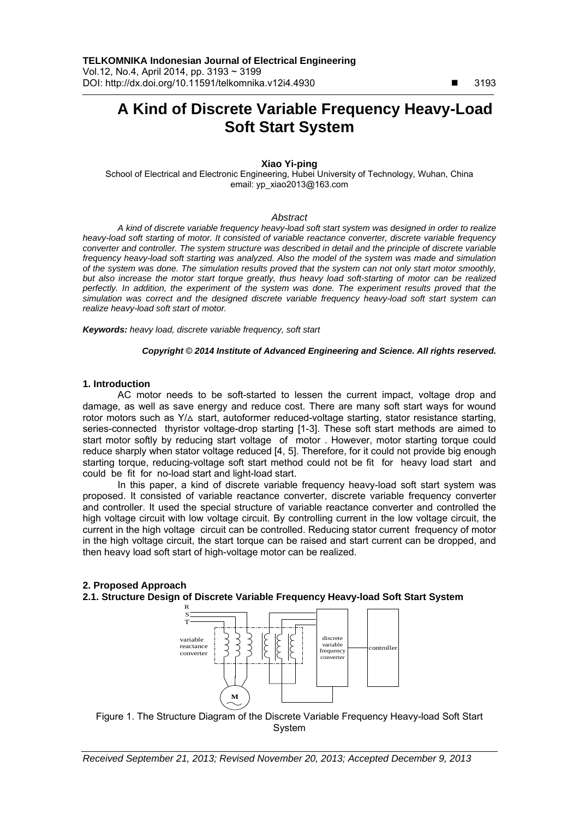# **A Kind of Discrete Variable Frequency Heavy-Load Soft Start System**

# **Xiao Yi-ping**

School of Electrical and Electronic Engineering, Hubei University of Technology, Wuhan, China email: yp\_xiao2013@163.com

#### *Abstract*

*A kind of discrete variable frequency heavy-load soft start system was designed in order to realize heavy-load soft starting of motor. It consisted of variable reactance converter, discrete variable frequency converter and controller. The system structure was described in detail and the principle of discrete variable frequency heavy-load soft starting was analyzed. Also the model of the system was made and simulation of the system was done. The simulation results proved that the system can not only start motor smoothly, but also increase the motor start torque greatly, thus heavy load soft-starting of motor can be realized perfectly. In addition, the experiment of the system was done. The experiment results proved that the simulation was correct and the designed discrete variable frequency heavy-load soft start system can realize heavy-load soft start of motor.*

*Keywords: heavy load, discrete variable frequency, soft start*

#### *Copyright* © *2014 Institute of Advanced Engineering and Science. All rights reserved.*

#### **1. Introduction**

AC motor needs to be soft-started to lessen the current impact, voltage drop and damage, as well as save energy and reduce cost. There are many soft start ways for wound rotor motors such as  $Y/\Delta$  start, autoformer reduced-voltage starting, stator resistance starting, series-connected thyristor voltage-drop starting [1-3]. These soft start methods are aimed to start motor softly by reducing start voltage of motor . However, motor starting torque could reduce sharply when stator voltage reduced [4, 5]. Therefore, for it could not provide big enough starting torque, reducing-voltage soft start method could not be fit for heavy load start and could be fit for no-load start and light-load start.

In this paper, a kind of discrete variable frequency heavy-load soft start system was proposed. It consisted of variable reactance converter, discrete variable frequency converter and controller. It used the special structure of variable reactance converter and controlled the high voltage circuit with low voltage circuit. By controlling current in the low voltage circuit, the current in the high voltage circuit can be controlled. Reducing stator current frequency of motor in the high voltage circuit, the start torque can be raised and start current can be dropped, and then heavy load soft start of high-voltage motor can be realized.

# **2. Proposed Approach 2.1. Structure Design of Discrete Variable Frequency Heavy-load Soft Start System**



Figure 1. The Structure Diagram of the Discrete Variable Frequency Heavy-load Soft Start System

 $\overline{a}$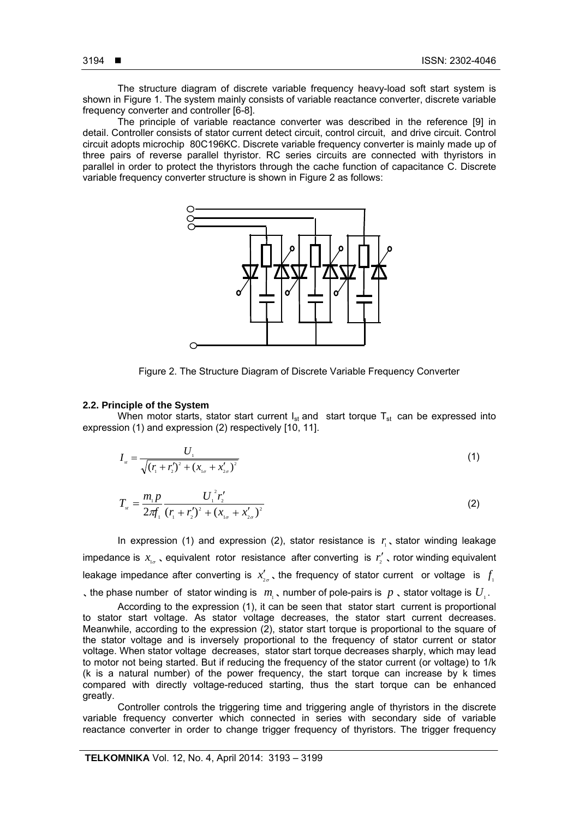ֺ

The structure diagram of discrete variable frequency heavy-load soft start system is shown in Figure 1. The system mainly consists of variable reactance converter, discrete variable frequency converter and controller [6-8].

The principle of variable reactance converter was described in the reference [9] in detail. Controller consists of stator current detect circuit, control circuit, and drive circuit. Control circuit adopts microchip 80C196KC. Discrete variable frequency converter is mainly made up of three pairs of reverse parallel thyristor. RC series circuits are connected with thyristors in parallel in order to protect the thyristors through the cache function of capacitance C. Discrete variable frequency converter structure is shown in Figure 2 as follows:



Figure 2. The Structure Diagram of Discrete Variable Frequency Converter

#### **2.2. Principle of the System**

When motor starts, stator start current  $I_{st}$  and start torque  $T_{st}$  can be expressed into expression (1) and expression (2) respectively [10, 11].

$$
I_{st} = \frac{U_1}{\sqrt{(r_1 + r_2')^2 + (x_{1\sigma} + x_{2\sigma}')^2}}
$$
(1)

$$
T_{s} = \frac{m_{1}p}{2\pi f_{1}} \frac{U_{1}^{2}r_{2}'}{(r_{1} + r_{2}')^{2} + (x_{1\sigma} + x_{2\sigma}')^{2}}
$$
(2)

In expression (1) and expression (2), stator resistance is  $r_i$ , stator winding leakage impedance is  $x_{i_{\alpha}}$ , equivalent rotor resistance after converting is  $r'_{i}$ , rotor winding equivalent leakage impedance after converting is  $x'_{2a}$ , the frequency of stator current or voltage is  $f_1$ , the phase number of stator winding is  $m_1$ , number of pole-pairs is  $p_2$ , stator voltage is  $U_1$ .

According to the expression (1), it can be seen that stator start current is proportional to stator start voltage. As stator voltage decreases, the stator start current decreases. Meanwhile, according to the expression (2), stator start torque is proportional to the square of the stator voltage and is inversely proportional to the frequency of stator current or stator voltage. When stator voltage decreases, stator start torque decreases sharply, which may lead to motor not being started. But if reducing the frequency of the stator current (or voltage) to 1/k (k is a natural number) of the power frequency, the start torque can increase by k times compared with directly voltage-reduced starting, thus the start torque can be enhanced greatly.

Controller controls the triggering time and triggering angle of thyristors in the discrete variable frequency converter which connected in series with secondary side of variable reactance converter in order to change trigger frequency of thyristors. The trigger frequency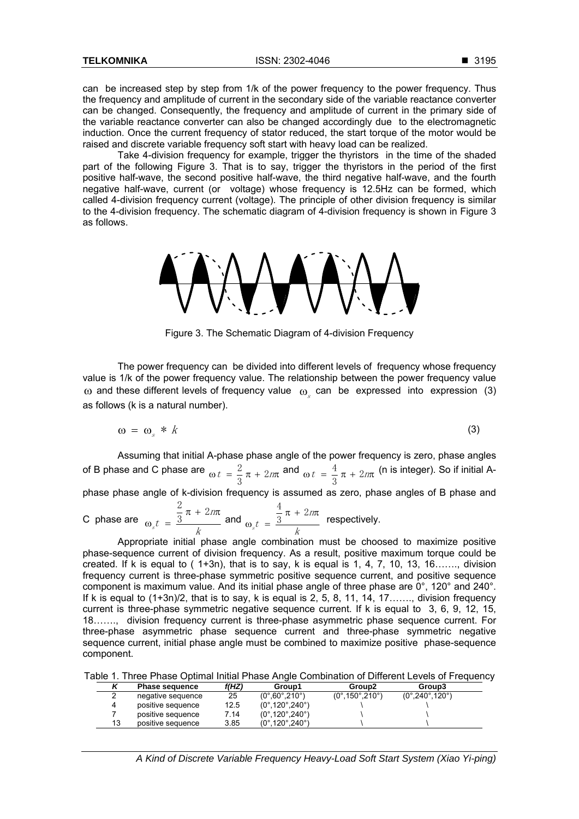can be increased step by step from 1/k of the power frequency to the power frequency. Thus the frequency and amplitude of current in the secondary side of the variable reactance converter can be changed. Consequently, the frequency and amplitude of current in the primary side of the variable reactance converter can also be changed accordingly due to the electromagnetic induction. Once the current frequency of stator reduced, the start torque of the motor would be raised and discrete variable frequency soft start with heavy load can be realized.

Take 4-division frequency for example, trigger the thyristors in the time of the shaded part of the following Figure 3. That is to say, trigger the thyristors in the period of the first positive half-wave, the second positive half-wave, the third negative half-wave, and the fourth negative half-wave, current (or voltage) whose frequency is 12.5Hz can be formed, which called 4-division frequency current (voltage). The principle of other division frequency is similar to the 4-division frequency. The schematic diagram of 4-division frequency is shown in Figure 3 as follows.



Figure 3. The Schematic Diagram of 4-division Frequency

The power frequency can be divided into different levels of frequency whose frequency value is 1/k of the power frequency value. The relationship between the power frequency value  $\omega$  and these different levels of frequency value  $\omega_s$  can be expressed into expression (3) as follows (k is a natural number).

$$
\omega = \omega_s * k \tag{3}
$$

Assuming that initial A-phase phase angle of the power frequency is zero, phase angles of B phase and C phase are  $\omega t = \frac{2}{3}\pi + 2m\pi$  and  $\omega t = \frac{4}{3}\pi + 2m\pi$  $\frac{4}{1}$   $\pi$  +  $\frac{9}{100}$  (n is integer). So if initial A-

phase phase angle of k-division frequency is assumed as zero, phase angles of B phase and 
$$
2\frac{2}{100}
$$

C phase are 
$$
\omega_s t = \frac{\frac{2}{3}\pi + 2m\pi}{k}
$$
 and  $\omega_s t = \frac{\frac{4}{3}\pi + 2m\pi}{k}$  respectively.

Appropriate initial phase angle combination must be choosed to maximize positive phase-sequence current of division frequency. As a result, positive maximum torque could be created. If k is equal to  $(1+3n)$ , that is to say, k is equal is 1, 4, 7, 10, 13, 16……., division frequency current is three-phase symmetric positive sequence current, and positive sequence component is maximum value. And its initial phase angle of three phase are 0°, 120° and 240°. If k is equal to  $(1+3n)/2$ , that is to say, k is equal is 2, 5, 8, 11, 14, 17……., division frequency current is three-phase symmetric negative sequence current. If k is equal to 3, 6, 9, 12, 15, 18……., division frequency current is three-phase asymmetric phase sequence current. For three-phase asymmetric phase sequence current and three-phase symmetric negative sequence current, initial phase angle must be combined to maximize positive phase-sequence component.

|  |  |  |  |  |  |  | Table 1. Three Phase Optimal Initial Phase Angle Combination of Different Levels of Frequency |  |  |  |  |
|--|--|--|--|--|--|--|-----------------------------------------------------------------------------------------------|--|--|--|--|
|--|--|--|--|--|--|--|-----------------------------------------------------------------------------------------------|--|--|--|--|

|    | <b>Phase sequence</b> | f(HZ) | Group1                                  | Group <sub>2</sub>                    | Group3                                  |
|----|-----------------------|-------|-----------------------------------------|---------------------------------------|-----------------------------------------|
|    | negative sequence     | 25    | $(0^{\circ}, 60^{\circ}, 210^{\circ})$  | $(0^{\circ}.150^{\circ}.210^{\circ})$ | $(0^{\circ}, 240^{\circ}, 120^{\circ})$ |
|    | positive sequence     | 12.5  | $(0^{\circ}, 120^{\circ}, 240^{\circ})$ |                                       |                                         |
|    | positive sequence     | 7.14  | $(0^{\circ}, 120^{\circ}, 240^{\circ})$ |                                       |                                         |
| 13 | positive sequence     | 3.85  | (0°.120°.240°)                          |                                       |                                         |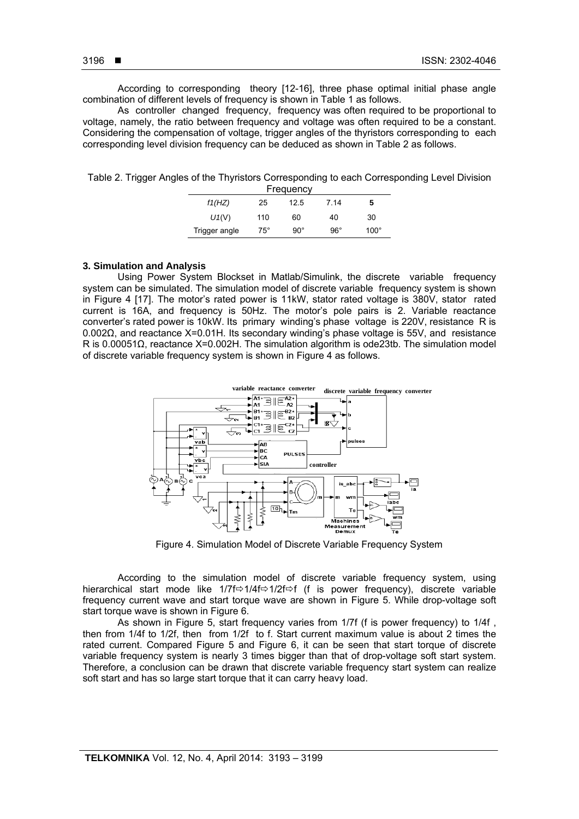ֺ

According to corresponding theory [12-16], three phase optimal initial phase angle combination of different levels of frequency is shown in Table 1 as follows.

As controller changed frequency, frequency was often required to be proportional to voltage, namely, the ratio between frequency and voltage was often required to be a constant. Considering the compensation of voltage, trigger angles of the thyristors corresponding to each corresponding level division frequency can be deduced as shown in Table 2 as follows.

Table 2. Trigger Angles of the Thyristors Corresponding to each Corresponding Level Division

| Frequency     |              |              |            |             |  |  |  |
|---------------|--------------|--------------|------------|-------------|--|--|--|
| f1(HZ)        | 25           | 12.5         | 7 14       | 5           |  |  |  |
| $U_1(V)$      | 110          | 60           | 40         | 30          |  |  |  |
| Trigger angle | $75^{\circ}$ | $90^{\circ}$ | $96^\circ$ | $100^\circ$ |  |  |  |

### **3. Simulation and Analysis**

Using Power System Blockset in Matlab/Simulink, the discrete variable frequency system can be simulated. The simulation model of discrete variable frequency system is shown in Figure 4 [17]. The motor's rated power is 11kW, stator rated voltage is 380V, stator rated current is 16A, and frequency is 50Hz. The motor's pole pairs is 2. Variable reactance converter's rated power is 10kW. Its primary winding's phase voltage is 220V, resistance R is 0.002Ω, and reactance X=0.01H. Its secondary winding's phase voltage is 55V, and resistance R is 0.00051Ω, reactance X=0.002H. The simulation algorithm is ode23tb. The simulation model of discrete variable frequency system is shown in Figure 4 as follows.



Figure 4. Simulation Model of Discrete Variable Frequency System

According to the simulation model of discrete variable frequency system, using hierarchical start mode like 1/7f $\Rightarrow$ 1/4f $\Rightarrow$ 1/2f $\Rightarrow$ f (f is power frequency), discrete variable frequency current wave and start torque wave are shown in Figure 5. While drop-voltage soft start torque wave is shown in Figure 6.

As shown in Figure 5, start frequency varies from 1/7f (f is power frequency) to 1/4f , then from 1/4f to 1/2f, then from 1/2f to f. Start current maximum value is about 2 times the rated current. Compared Figure 5 and Figure 6, it can be seen that start torque of discrete variable frequency system is nearly 3 times bigger than that of drop-voltage soft start system. Therefore, a conclusion can be drawn that discrete variable frequency start system can realize soft start and has so large start torque that it can carry heavy load.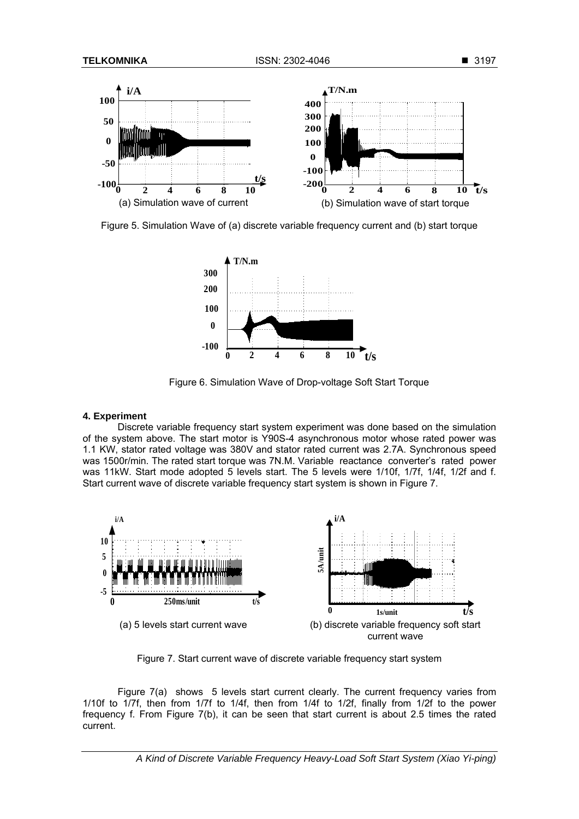

Figure 5. Simulation Wave of (a) discrete variable frequency current and (b) start torque



Figure 6. Simulation Wave of Drop-voltage Soft Start Torque

#### **4. Experiment**

Discrete variable frequency start system experiment was done based on the simulation of the system above. The start motor is Y90S-4 asynchronous motor whose rated power was 1.1 KW, stator rated voltage was 380V and stator rated current was 2.7A. Synchronous speed was 1500r/min. The rated start torque was 7N.M. Variable reactance converter's rated power was 11kW. Start mode adopted 5 levels start. The 5 levels were 1/10f, 1/7f, 1/4f, 1/2f and f. Start current wave of discrete variable frequency start system is shown in Figure 7.



Figure 7. Start current wave of discrete variable frequency start system

Figure 7(a) shows 5 levels start current clearly. The current frequency varies from 1/10f to 1/7f, then from 1/7f to 1/4f, then from 1/4f to 1/2f, finally from 1/2f to the power frequency f. From Figure 7(b), it can be seen that start current is about 2.5 times the rated current.

*A Kind of Discrete Variable Frequency Heavy-Load Soft Start System (Xiao Yi-ping)*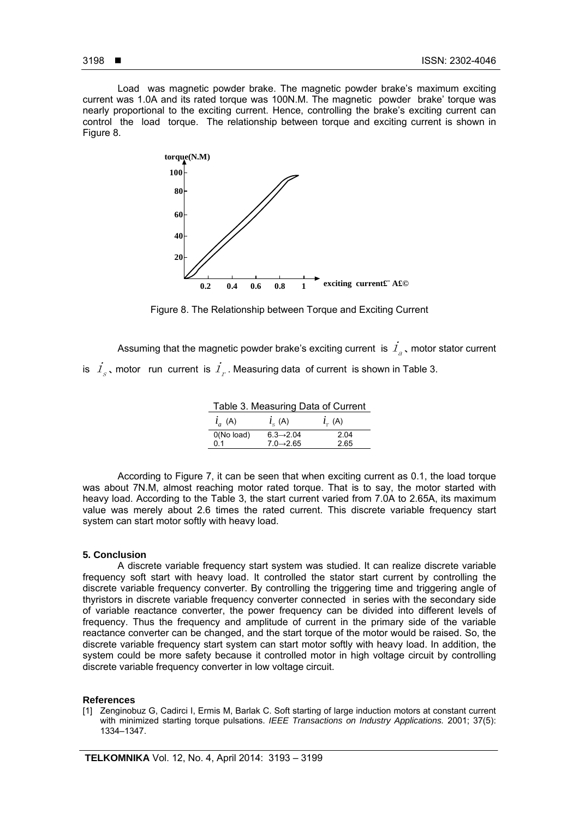Load was magnetic powder brake. The magnetic powder brake's maximum exciting current was 1.0A and its rated torque was 100N.M. The magnetic powder brake' torque was nearly proportional to the exciting current. Hence, controlling the brake's exciting current can control the load torque. The relationship between torque and exciting current is shown in Figure 8.



Figure 8. The Relationship between Torque and Exciting Current

Assuming that the magnetic powder brake's exciting current is  $I_{a}$ , motor stator current is  $\hat{I}_s$ , motor run current is  $\hat{I}_r$ . Measuring data of current is shown in Table 3.

Table 3. Measuring Data of Current (A)  $i_{s}$  (A)  $i_{r}$  (A) 0(No load)  $6.3 \rightarrow 2.04$  2.04 (A)  $i_a(A)$ 

0.1 7.0→2.65 2.65

According to Figure 7, it can be seen that when exciting current as 0.1, the load torque was about 7N.M, almost reaching motor rated torque. That is to say, the motor started with heavy load. According to the Table 3, the start current varied from 7.0A to 2.65A, its maximum value was merely about 2.6 times the rated current. This discrete variable frequency start system can start motor softly with heavy load.

## **5. Conclusion**

A discrete variable frequency start system was studied. It can realize discrete variable frequency soft start with heavy load. It controlled the stator start current by controlling the discrete variable frequency converter. By controlling the triggering time and triggering angle of thyristors in discrete variable frequency converter connected in series with the secondary side of variable reactance converter, the power frequency can be divided into different levels of frequency. Thus the frequency and amplitude of current in the primary side of the variable reactance converter can be changed, and the start torque of the motor would be raised. So, the discrete variable frequency start system can start motor softly with heavy load. In addition, the system could be more safety because it controlled motor in high voltage circuit by controlling discrete variable frequency converter in low voltage circuit.

## **References**

[1] Zenginobuz G, Cadirci I, Ermis M, Barlak C. Soft starting of large induction motors at constant current with minimized starting torque pulsations. *IEEE Transactions on Industry Applications.* 2001; 37(5): 1334–1347.

ֺ